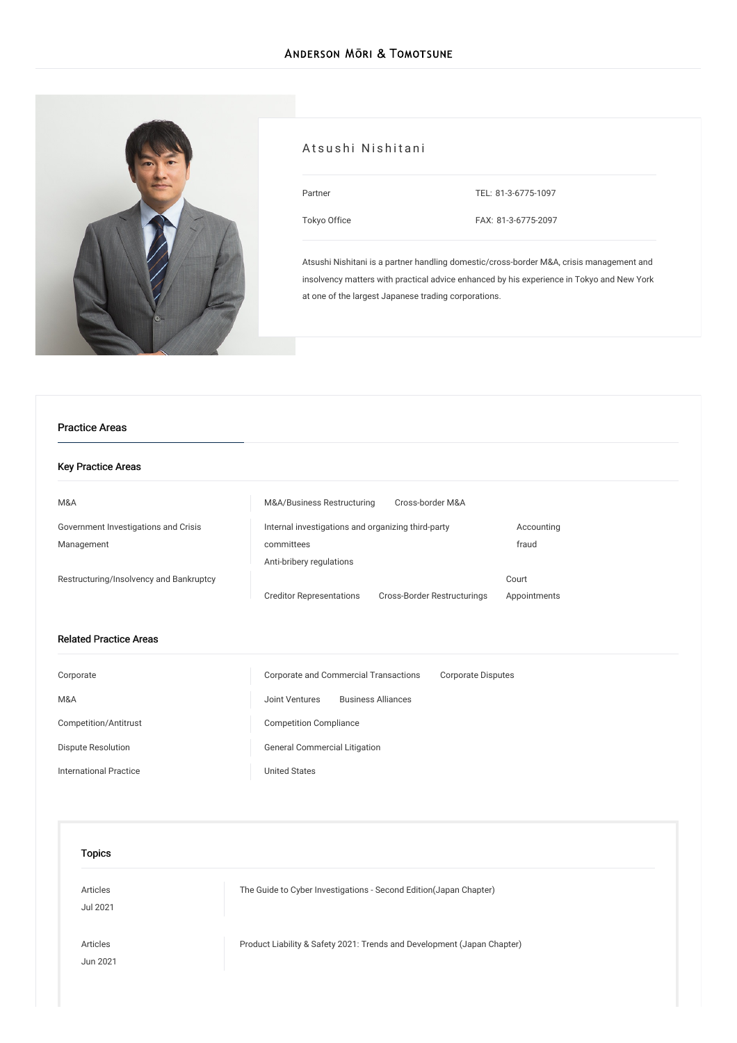

## Atsushi Nishitani

| artner<br>. .<br>$\sim$<br>× |  |
|------------------------------|--|
|                              |  |

TEL: [81-3-6775-1097](tel:81-3-6775-1097)

[Tokyo](/en/locations/tokyo) Office

FAX: 81-3-6775-2097

Atsushi Nishitani is a partner handling domestic/cross-border M&A, crisis management and insolvency matters with practical advice enhanced by his experience in Tokyo and New York at one of the largest Japanese trading corporations.

#### Practice Areas

#### Key Practice Areas

| M&A                                     | M&A/Business Restructuring                         | Cross-border M&A            |              |
|-----------------------------------------|----------------------------------------------------|-----------------------------|--------------|
| Government Investigations and Crisis    | Internal investigations and organizing third-party |                             | Accounting   |
| Management                              | committees                                         |                             | fraud        |
|                                         | Anti-bribery regulations                           |                             |              |
| Restructuring/Insolvency and Bankruptcy |                                                    |                             | Court        |
|                                         | <b>Creditor Representations</b>                    | Cross-Border Restructurings | Appointments |

#### Related Practice Areas

| Corporate                     | Corporate and Commercial Transactions<br><b>Corporate Disputes</b> |
|-------------------------------|--------------------------------------------------------------------|
| M&A                           | <b>Business Alliances</b><br>Joint Ventures                        |
| Competition/Antitrust         | <b>Competition Compliance</b>                                      |
| Dispute Resolution            | <b>General Commercial Litigation</b>                               |
| <b>International Practice</b> | <b>United States</b>                                               |

| Topics               |                                                                         |
|----------------------|-------------------------------------------------------------------------|
| Articles<br>Jul 2021 | The Guide to Cyber Investigations - Second Edition (Japan Chapter)      |
| Articles<br>Jun 2021 | Product Liability & Safety 2021: Trends and Development (Japan Chapter) |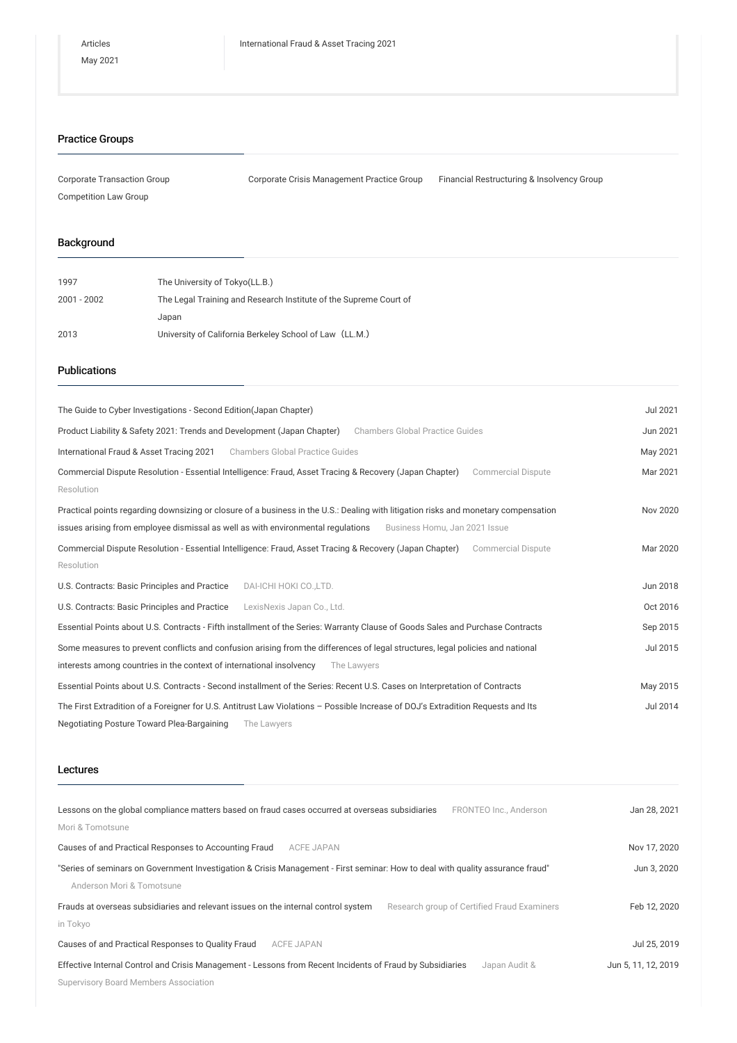## Practice Groups

| Corporate Transaction Group | Corporate Crisis Management Practice Group | Financial Restructuring & Insolvency Group |
|-----------------------------|--------------------------------------------|--------------------------------------------|
| Competition Law Group       |                                            |                                            |

## Background

| 1997          | The University of Tokyo(LL.B.)                                    |
|---------------|-------------------------------------------------------------------|
| $2001 - 2002$ | The Legal Training and Research Institute of the Supreme Court of |
|               | Japan                                                             |
| 2013          | University of California Berkeley School of Law (LL.M.)           |

## Publications

| The Guide to Cyber Investigations - Second Edition (Japan Chapter)                                                                   | Jul 2021 |
|--------------------------------------------------------------------------------------------------------------------------------------|----------|
| Product Liability & Safety 2021: Trends and Development (Japan Chapter)<br><b>Chambers Global Practice Guides</b>                    | Jun 2021 |
| International Fraud & Asset Tracing 2021<br><b>Chambers Global Practice Guides</b>                                                   | May 2021 |
| Commercial Dispute Resolution - Essential Intelligence: Fraud, Asset Tracing & Recovery (Japan Chapter)<br><b>Commercial Dispute</b> | Mar 2021 |
| Resolution                                                                                                                           |          |
| Practical points regarding downsizing or closure of a business in the U.S.: Dealing with litigation risks and monetary compensation  | Nov 2020 |
| issues arising from employee dismissal as well as with environmental regulations<br>Business Homu, Jan 2021 Issue                    |          |
| Commercial Dispute Resolution - Essential Intelligence: Fraud, Asset Tracing & Recovery (Japan Chapter)<br><b>Commercial Dispute</b> | Mar 2020 |
| Resolution                                                                                                                           |          |
| U.S. Contracts: Basic Principles and Practice<br>DAI-ICHI HOKI CO., LTD.                                                             | Jun 2018 |
| U.S. Contracts: Basic Principles and Practice<br>LexisNexis Japan Co., Ltd.                                                          | Oct 2016 |
| Essential Points about U.S. Contracts - Fifth installment of the Series: Warranty Clause of Goods Sales and Purchase Contracts       | Sep 2015 |
| Some measures to prevent conflicts and confusion arising from the differences of legal structures, legal policies and national       | Jul 2015 |
| interests among countries in the context of international insolvency<br>The Lawyers                                                  |          |
| Essential Points about U.S. Contracts - Second installment of the Series: Recent U.S. Cases on Interpretation of Contracts           | May 2015 |
| The First Extradition of a Foreigner for U.S. Antitrust Law Violations - Possible Increase of DOJ's Extradition Requests and Its     | Jul 2014 |
| Negotiating Posture Toward Plea-Bargaining<br>The Lawyers                                                                            |          |

# Lectures

| Lessons on the global compliance matters based on fraud cases occurred at overseas subsidiaries<br>FRONTEO Inc., Anderson         | Jan 28, 2021        |
|-----------------------------------------------------------------------------------------------------------------------------------|---------------------|
| Mori & Tomotsune                                                                                                                  |                     |
| Causes of and Practical Responses to Accounting Fraud<br><b>ACFE JAPAN</b>                                                        | Nov 17, 2020        |
| "Series of seminars on Government Investigation & Crisis Management - First seminar: How to deal with quality assurance fraud"    | Jun 3, 2020         |
| Anderson Mori & Tomotsune                                                                                                         |                     |
| Frauds at overseas subsidiaries and relevant issues on the internal control system<br>Research group of Certified Fraud Examiners | Feb 12, 2020        |
| in Tokyo                                                                                                                          |                     |
| Causes of and Practical Responses to Quality Fraud<br>ACFE JAPAN                                                                  | Jul 25, 2019        |
| Effective Internal Control and Crisis Management - Lessons from Recent Incidents of Fraud by Subsidiaries<br>Japan Audit &        | Jun 5, 11, 12, 2019 |
| <b>Supervisory Board Members Association</b>                                                                                      |                     |